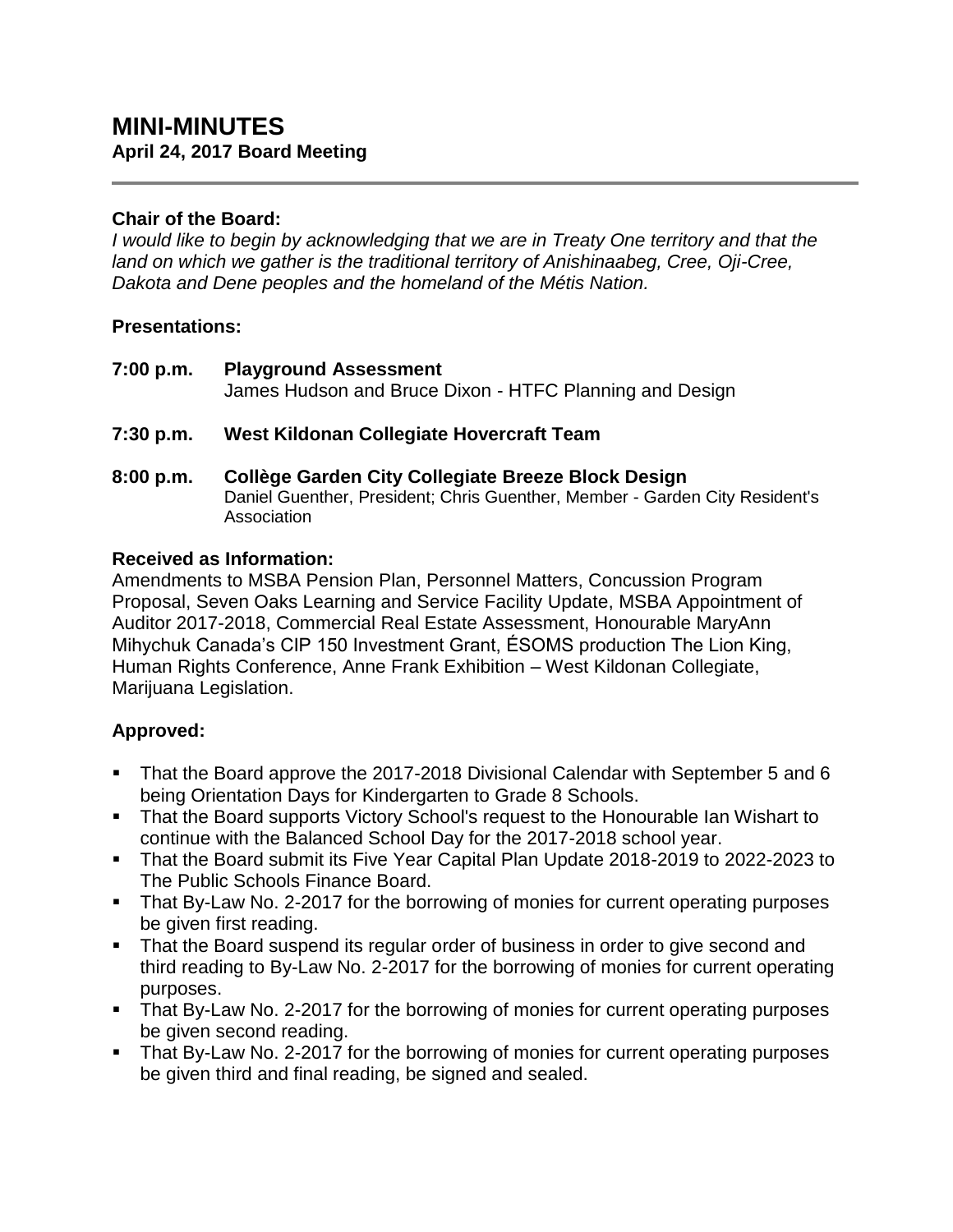#### **Chair of the Board:**

*I would like to begin by acknowledging that we are in Treaty One territory and that the land on which we gather is the traditional territory of Anishinaabeg, Cree, Oji-Cree, Dakota and Dene peoples and the homeland of the Métis Nation.*

#### **Presentations:**

**7:00 p.m. Playground Assessment** James Hudson and Bruce Dixon - HTFC Planning and Design

## **7:30 p.m. West Kildonan Collegiate Hovercraft Team**

**8:00 p.m. Collège Garden City Collegiate Breeze Block Design** Daniel Guenther, President; Chris Guenther, Member - Garden City Resident's Association

#### **Received as Information:**

Amendments to MSBA Pension Plan, Personnel Matters, Concussion Program Proposal, Seven Oaks Learning and Service Facility Update, MSBA Appointment of Auditor 2017-2018, Commercial Real Estate Assessment, Honourable MaryAnn Mihychuk Canada's CIP 150 Investment Grant, ÉSOMS production The Lion King, Human Rights Conference, Anne Frank Exhibition – West Kildonan Collegiate, Marijuana Legislation.

## **Approved:**

- That the Board approve the 2017-2018 Divisional Calendar with September 5 and 6 being Orientation Days for Kindergarten to Grade 8 Schools.
- That the Board supports Victory School's request to the Honourable Ian Wishart to continue with the Balanced School Day for the 2017-2018 school year.
- That the Board submit its Five Year Capital Plan Update 2018-2019 to 2022-2023 to The Public Schools Finance Board.
- That By-Law No. 2-2017 for the borrowing of monies for current operating purposes be given first reading.
- That the Board suspend its regular order of business in order to give second and third reading to By-Law No. 2-2017 for the borrowing of monies for current operating purposes.
- That By-Law No. 2-2017 for the borrowing of monies for current operating purposes be given second reading.
- That By-Law No. 2-2017 for the borrowing of monies for current operating purposes be given third and final reading, be signed and sealed.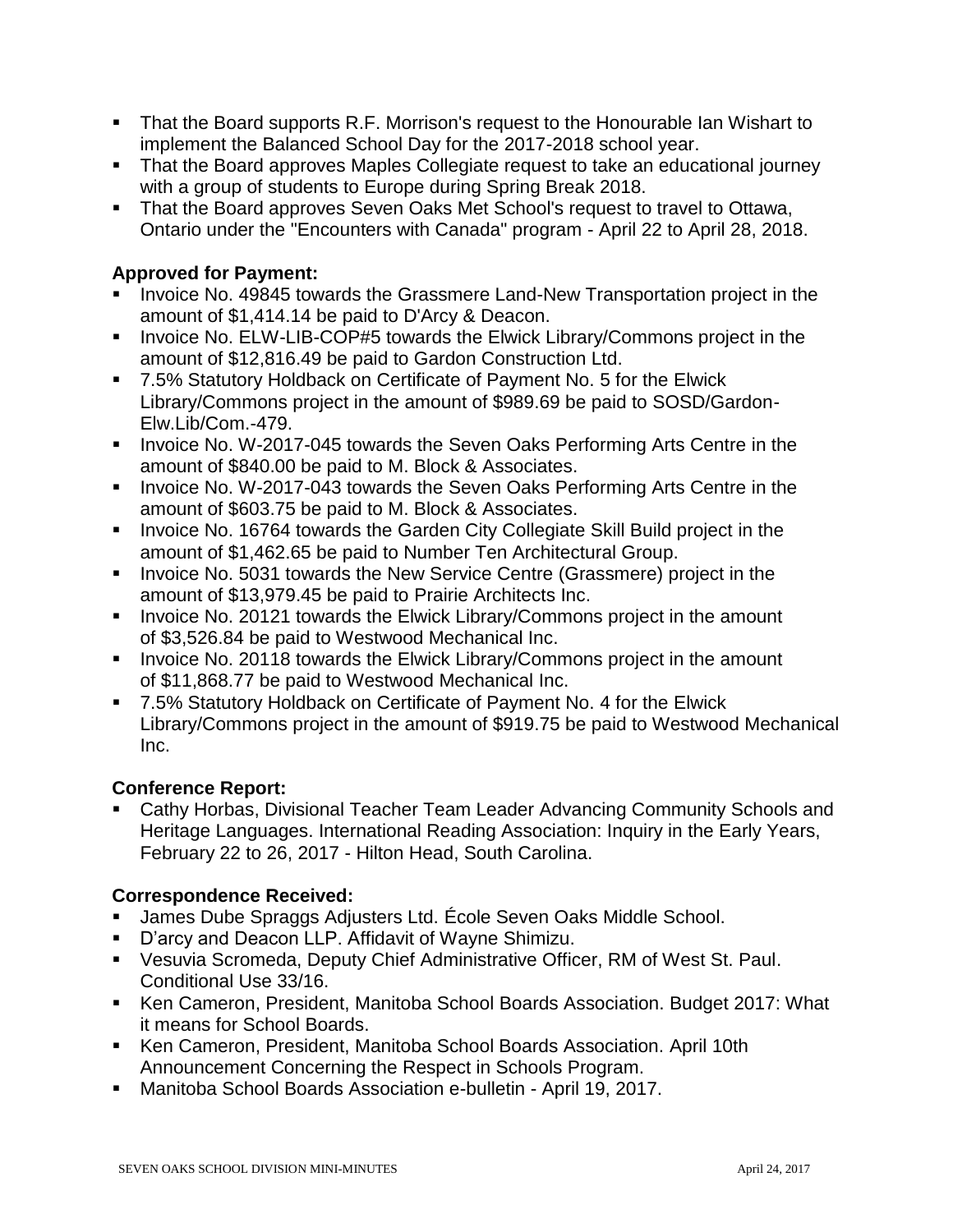- That the Board supports R.F. Morrison's request to the Honourable Ian Wishart to implement the Balanced School Day for the 2017-2018 school year.
- That the Board approves Maples Collegiate request to take an educational journey with a group of students to Europe during Spring Break 2018.
- That the Board approves Seven Oaks Met School's request to travel to Ottawa, Ontario under the "Encounters with Canada" program - April 22 to April 28, 2018.

# **Approved for Payment:**

- **Invoice No. 49845 towards the Grassmere Land-New Transportation project in the** amount of \$1,414.14 be paid to D'Arcy & Deacon.
- **Invoice No. ELW-LIB-COP#5 towards the Elwick Library/Commons project in the** amount of \$12,816.49 be paid to Gardon Construction Ltd.
- 7.5% Statutory Holdback on Certificate of Payment No. 5 for the Elwick Library/Commons project in the amount of \$989.69 be paid to SOSD/Gardon-Elw.Lib/Com.-479.
- **Invoice No. W-2017-045 towards the Seven Oaks Performing Arts Centre in the** amount of \$840.00 be paid to M. Block & Associates.
- **Invoice No. W-2017-043 towards the Seven Oaks Performing Arts Centre in the** amount of \$603.75 be paid to M. Block & Associates.
- **Invoice No. 16764 towards the Garden City Collegiate Skill Build project in the** amount of \$1,462.65 be paid to Number Ten Architectural Group.
- Invoice No. 5031 towards the New Service Centre (Grassmere) project in the amount of \$13,979.45 be paid to Prairie Architects Inc.
- **IDED** Invoice No. 20121 towards the Elwick Library/Commons project in the amount of \$3,526.84 be paid to Westwood Mechanical Inc.
- **IDED** Invoice No. 20118 towards the Elwick Library/Commons project in the amount of \$11,868.77 be paid to Westwood Mechanical Inc.
- 7.5% Statutory Holdback on Certificate of Payment No. 4 for the Elwick Library/Commons project in the amount of \$919.75 be paid to Westwood Mechanical Inc.

## **Conference Report:**

 Cathy Horbas, Divisional Teacher Team Leader Advancing Community Schools and Heritage Languages. International Reading Association: Inquiry in the Early Years, February 22 to 26, 2017 - Hilton Head, South Carolina.

## **Correspondence Received:**

- James Dube Spraggs Adjusters Ltd. École Seven Oaks Middle School.
- D'arcy and Deacon LLP. Affidavit of Wayne Shimizu.
- Vesuvia Scromeda, Deputy Chief Administrative Officer, RM of West St. Paul. Conditional Use 33/16.
- Ken Cameron, President, Manitoba School Boards Association. Budget 2017: What it means for School Boards.
- Ken Cameron, President, Manitoba School Boards Association. April 10th Announcement Concerning the Respect in Schools Program.
- Manitoba School Boards Association e-bulletin April 19, 2017.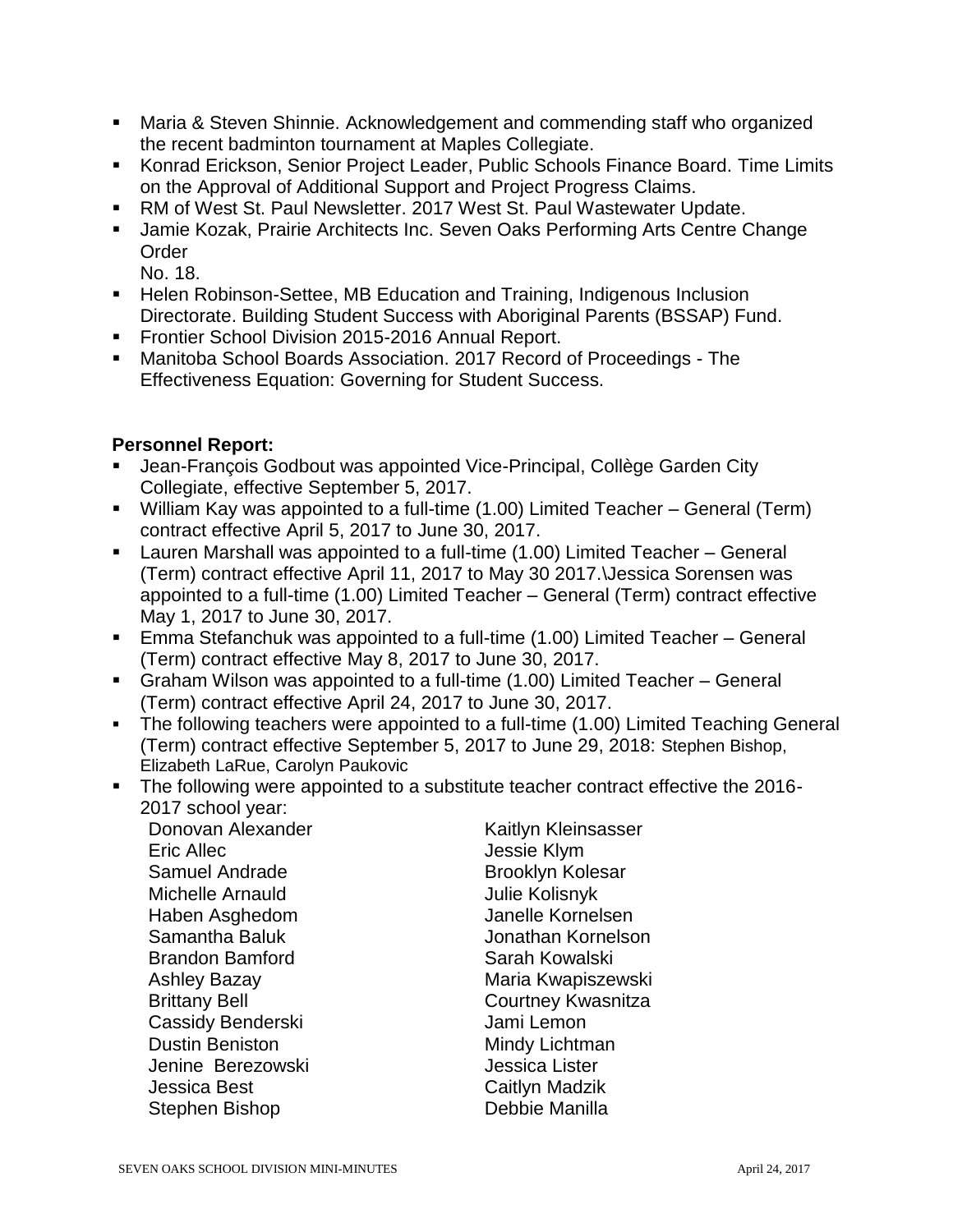- Maria & Steven Shinnie. Acknowledgement and commending staff who organized the recent badminton tournament at Maples Collegiate.
- Konrad Erickson, Senior Project Leader, Public Schools Finance Board. Time Limits on the Approval of Additional Support and Project Progress Claims.
- RM of West St. Paul Newsletter. 2017 West St. Paul Wastewater Update.
- **Jamie Kozak, Prairie Architects Inc. Seven Oaks Performing Arts Centre Change Order** 
	- No. 18.
- Helen Robinson-Settee, MB Education and Training, Indigenous Inclusion Directorate. Building Student Success with Aboriginal Parents (BSSAP) Fund.
- **Frontier School Division 2015-2016 Annual Report.**
- Manitoba School Boards Association. 2017 Record of Proceedings The Effectiveness Equation: Governing for Student Success.

#### **Personnel Report:**

- Jean-François Godbout was appointed Vice-Principal, Collège Garden City Collegiate, effective September 5, 2017.
- William Kay was appointed to a full-time (1.00) Limited Teacher General (Term) contract effective April 5, 2017 to June 30, 2017.
- Lauren Marshall was appointed to a full-time (1.00) Limited Teacher General (Term) contract effective April 11, 2017 to May 30 2017.\Jessica Sorensen was appointed to a full-time (1.00) Limited Teacher – General (Term) contract effective May 1, 2017 to June 30, 2017.
- Emma Stefanchuk was appointed to a full-time (1.00) Limited Teacher General (Term) contract effective May 8, 2017 to June 30, 2017.
- Graham Wilson was appointed to a full-time (1.00) Limited Teacher General (Term) contract effective April 24, 2017 to June 30, 2017.
- The following teachers were appointed to a full-time (1.00) Limited Teaching General (Term) contract effective September 5, 2017 to June 29, 2018: Stephen Bishop, Elizabeth LaRue, Carolyn Paukovic
- The following were appointed to a substitute teacher contract effective the 2016-2017 school year:

Donovan Alexander Kaitlyn Kleinsasser Eric Allec **Allec** Jessie Klym Samuel Andrade Brooklyn Kolesar Michelle Arnauld **Michelle Arnauld** Julie Kolisnyk Haben Asghedom Janelle Kornelsen Brandon Bamford Sarah Kowalski Cassidy Benderski Jami Lemon Dustin Beniston **Mindy Lichtman** Jenine Berezowski Jessica Lister **Jessica Best** Caitlyn Madzik Stephen Bishop **Debbie Manilla** 

Samantha Baluk Jonathan Kornelson Ashley Bazay **Maria Kwapiszewski** Brittany Bell **Courtney Kwasnitza**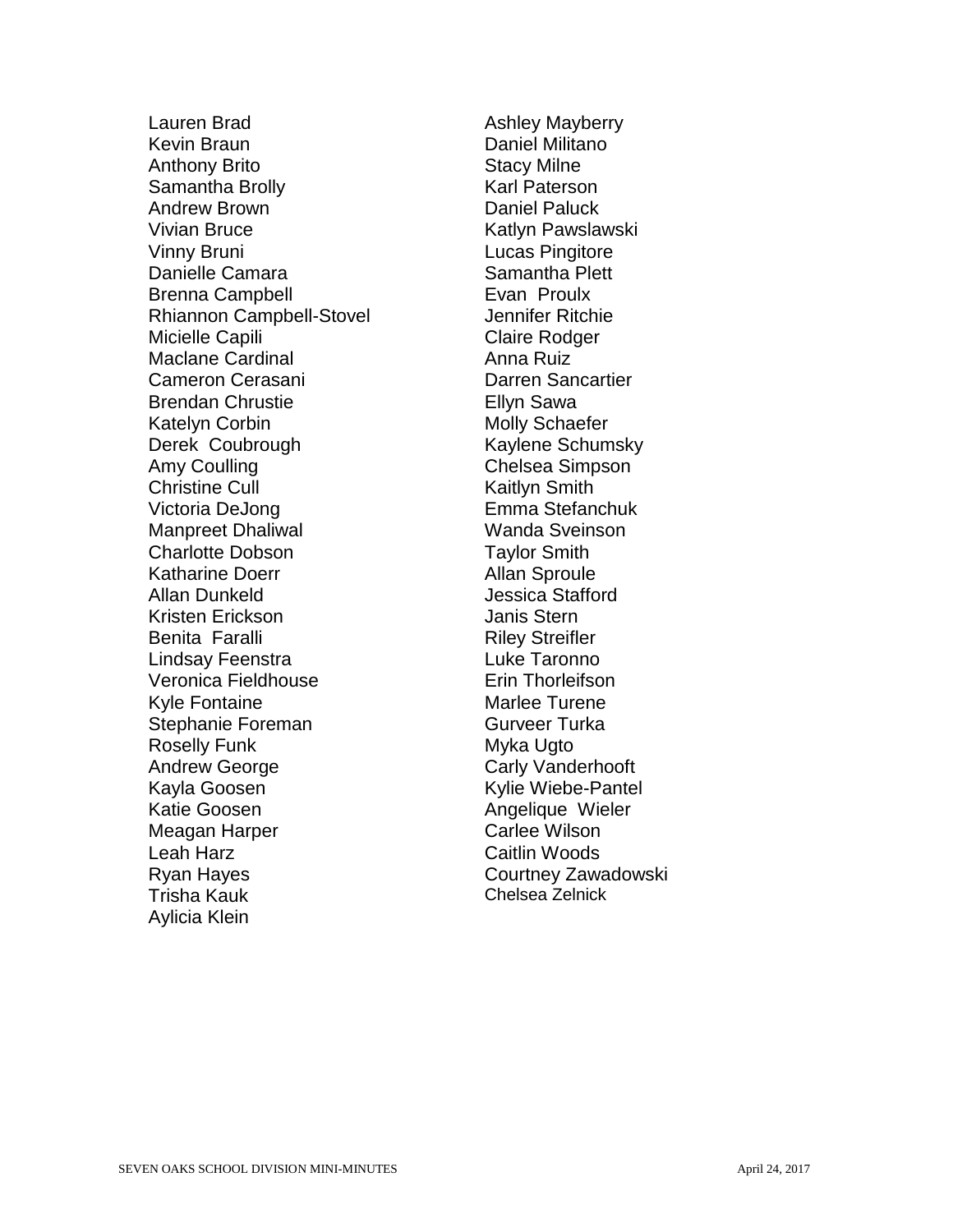Lauren Brad **Ashley Mayberry** Kevin Braun **Daniel Militano** Anthony Brito Stacy Milne Samantha Brolly **Karl Paterson** Andrew Brown **Daniel Paluck** Vivian Bruce **Katlyn Pawslawski** Vinny Bruni Lucas Pingitore Danielle Camara Samantha Plett Brenna Campbell **Evan Proulx** Rhiannon Campbell-Stovel **Interpreterious** Jennifer Ritchie Micielle Capili **Claire Rodger** Maclane Cardinal **Anna Ruiz** Cameron Cerasani **Darren Sancartier** Brendan Chrustie **Ellyn** Sawa Katelyn Corbin **Molly** Schaefer Derek Coubrough Kaylene Schumsky Amy Coulling **Chelsea Simpson** Christine Cull **Christian Cull** Kaitlyn Smith Victoria DeJong Emma Stefanchuk Manpreet Dhaliwal Wanda Sveinson Charlotte Dobson Taylor Smith Katharine Doerr **Allan Sproule** Allan Dunkeld **Allan** Dunkeld **Jessica** Stafford Kristen Erickson and Janis Stern Benita Faralli **Riley Streifler** Lindsay Feenstra **Luke Taronno** Veronica Fieldhouse **Example 19** Erin Thorleifson Kyle Fontaine **Maries** Marlee Turene Stephanie Foreman Gurveer Turka Roselly Funk Myka Ugto Andrew George **Carly Vanderhooft** Kayla Goosen **Kylie Wiebe-Pantel** Katie Goosen **Angelique Wieler** Meagan Harper **Carlee Wilson** Leah Harz **Caitlin Woods** Ryan Hayes **Courtney Zawadowski** Trisha Kauk Chelsea Zelnick Aylicia Klein